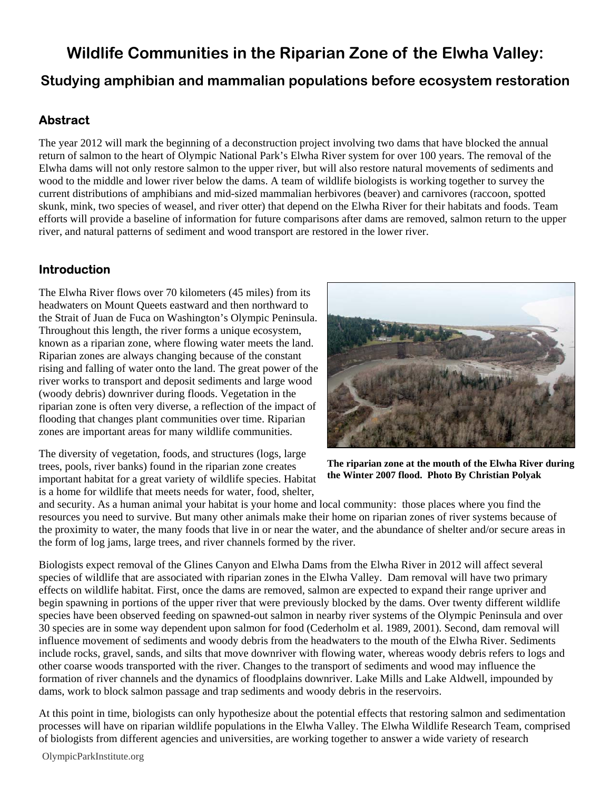# **Wildlife Communities in the Riparian Zone of the Elwha Valley: Studying amphibian and mammalian populations before ecosystem restoration**

# **Abstract**

The year 2012 will mark the beginning of a deconstruction project involving two dams that have blocked the annual return of salmon to the heart of Olympic National Park's Elwha River system for over 100 years. The removal of the Elwha dams will not only restore salmon to the upper river, but will also restore natural movements of sediments and wood to the middle and lower river below the dams. A team of wildlife biologists is working together to survey the current distributions of amphibians and mid-sized mammalian herbivores (beaver) and carnivores (raccoon, spotted skunk, mink, two species of weasel, and river otter) that depend on the Elwha River for their habitats and foods. Team efforts will provide a baseline of information for future comparisons after dams are removed, salmon return to the upper river, and natural patterns of sediment and wood transport are restored in the lower river.

# **Introduction**

The Elwha River flows over 70 kilometers (45 miles) from its headwaters on Mount Queets eastward and then northward to the Strait of Juan de Fuca on Washington's Olympic Peninsula. Throughout this length, the river forms a unique ecosystem, known as a riparian zone, where flowing water meets the land. Riparian zones are always changing because of the constant rising and falling of water onto the land. The great power of the river works to transport and deposit sediments and large wood (woody debris) downriver during floods. Vegetation in the riparian zone is often very diverse, a reflection of the impact of flooding that changes plant communities over time. Riparian zones are important areas for many wildlife communities.

The diversity of vegetation, foods, and structures (logs, large trees, pools, river banks) found in the riparian zone creates important habitat for a great variety of wildlife species. Habitat is a home for wildlife that meets needs for water, food, shelter,



**The riparian zone at the mouth of the Elwha River during the Winter 2007 flood. Photo By Christian Polyak** 

and security. As a human animal your habitat is your home and local community: those places where you find the resources you need to survive. But many other animals make their home on riparian zones of river systems because of the proximity to water, the many foods that live in or near the water, and the abundance of shelter and/or secure areas in the form of log jams, large trees, and river channels formed by the river.

Biologists expect removal of the Glines Canyon and Elwha Dams from the Elwha River in 2012 will affect several species of wildlife that are associated with riparian zones in the Elwha Valley. Dam removal will have two primary effects on wildlife habitat. First, once the dams are removed, salmon are expected to expand their range upriver and begin spawning in portions of the upper river that were previously blocked by the dams. Over twenty different wildlife species have been observed feeding on spawned-out salmon in nearby river systems of the Olympic Peninsula and over 30 species are in some way dependent upon salmon for food (Cederholm et al. 1989, 2001). Second, dam removal will influence movement of sediments and woody debris from the headwaters to the mouth of the Elwha River. Sediments include rocks, gravel, sands, and silts that move downriver with flowing water, whereas woody debris refers to logs and other coarse woods transported with the river. Changes to the transport of sediments and wood may influence the formation of river channels and the dynamics of floodplains downriver. Lake Mills and Lake Aldwell, impounded by dams, work to block salmon passage and trap sediments and woody debris in the reservoirs.

At this point in time, biologists can only hypothesize about the potential effects that restoring salmon and sedimentation processes will have on riparian wildlife populations in the Elwha Valley. The Elwha Wildlife Research Team, comprised of biologists from different agencies and universities, are working together to answer a wide variety of research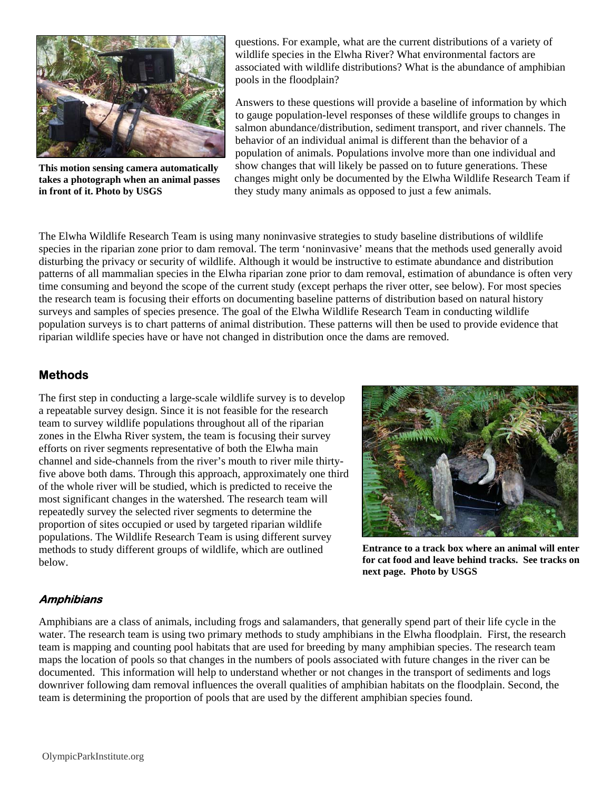

**This motion sensing camera automatically takes a photograph when an animal passes in front of it. Photo by USGS** 

questions. For example, what are the current distributions of a variety of wildlife species in the Elwha River? What environmental factors are associated with wildlife distributions? What is the abundance of amphibian pools in the floodplain?

Answers to these questions will provide a baseline of information by which to gauge population-level responses of these wildlife groups to changes in salmon abundance/distribution, sediment transport, and river channels. The behavior of an individual animal is different than the behavior of a population of animals. Populations involve more than one individual and show changes that will likely be passed on to future generations. These changes might only be documented by the Elwha Wildlife Research Team if they study many animals as opposed to just a few animals.

The Elwha Wildlife Research Team is using many noninvasive strategies to study baseline distributions of wildlife species in the riparian zone prior to dam removal. The term 'noninvasive' means that the methods used generally avoid disturbing the privacy or security of wildlife. Although it would be instructive to estimate abundance and distribution patterns of all mammalian species in the Elwha riparian zone prior to dam removal, estimation of abundance is often very time consuming and beyond the scope of the current study (except perhaps the river otter, see below). For most species the research team is focusing their efforts on documenting baseline patterns of distribution based on natural history surveys and samples of species presence. The goal of the Elwha Wildlife Research Team in conducting wildlife population surveys is to chart patterns of animal distribution. These patterns will then be used to provide evidence that riparian wildlife species have or have not changed in distribution once the dams are removed.

## **Methods**

The first step in conducting a large-scale wildlife survey is to develop a repeatable survey design. Since it is not feasible for the research team to survey wildlife populations throughout all of the riparian zones in the Elwha River system, the team is focusing their survey efforts on river segments representative of both the Elwha main channel and side-channels from the river's mouth to river mile thirtyfive above both dams. Through this approach, approximately one third of the whole river will be studied, which is predicted to receive the most significant changes in the watershed. The research team will repeatedly survey the selected river segments to determine the proportion of sites occupied or used by targeted riparian wildlife populations. The Wildlife Research Team is using different survey methods to study different groups of wildlife, which are outlined below.



**Entrance to a track box where an animal will enter for cat food and leave behind tracks. See tracks on next page. Photo by USGS** 

## **Amphibians**

Amphibians are a class of animals, including frogs and salamanders, that generally spend part of their life cycle in the water. The research team is using two primary methods to study amphibians in the Elwha floodplain. First, the research team is mapping and counting pool habitats that are used for breeding by many amphibian species. The research team maps the location of pools so that changes in the numbers of pools associated with future changes in the river can be documented. This information will help to understand whether or not changes in the transport of sediments and logs downriver following dam removal influences the overall qualities of amphibian habitats on the floodplain. Second, the team is determining the proportion of pools that are used by the different amphibian species found.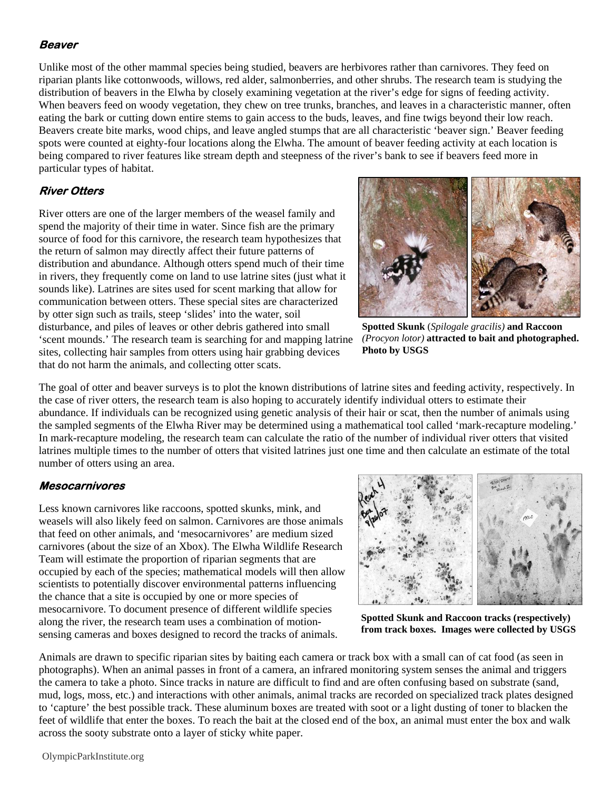#### **Beaver**

Unlike most of the other mammal species being studied, beavers are herbivores rather than carnivores. They feed on riparian plants like cottonwoods, willows, red alder, salmonberries, and other shrubs. The research team is studying the distribution of beavers in the Elwha by closely examining vegetation at the river's edge for signs of feeding activity. When beavers feed on woody vegetation, they chew on tree trunks, branches, and leaves in a characteristic manner, often eating the bark or cutting down entire stems to gain access to the buds, leaves, and fine twigs beyond their low reach. Beavers create bite marks, wood chips, and leave angled stumps that are all characteristic 'beaver sign.' Beaver feeding spots were counted at eighty-four locations along the Elwha. The amount of beaver feeding activity at each location is being compared to river features like stream depth and steepness of the river's bank to see if beavers feed more in particular types of habitat.

## **River Otters**

River otters are one of the larger members of the weasel family and spend the majority of their time in water. Since fish are the primary source of food for this carnivore, the research team hypothesizes that the return of salmon may directly affect their future patterns of distribution and abundance. Although otters spend much of their time in rivers, they frequently come on land to use latrine sites (just what it sounds like). Latrines are sites used for scent marking that allow for communication between otters. These special sites are characterized by otter sign such as trails, steep 'slides' into the water, soil disturbance, and piles of leaves or other debris gathered into small 'scent mounds.' The research team is searching for and mapping latrine sites, collecting hair samples from otters using hair grabbing devices that do not harm the animals, and collecting otter scats.



**Spotted Skunk** (*Spilogale gracilis)* **and Raccoon**  *(Procyon lotor)* **attracted to bait and photographed. Photo by USGS** 

The goal of otter and beaver surveys is to plot the known distributions of latrine sites and feeding activity, respectively. In the case of river otters, the research team is also hoping to accurately identify individual otters to estimate their abundance. If individuals can be recognized using genetic analysis of their hair or scat, then the number of animals using the sampled segments of the Elwha River may be determined using a mathematical tool called 'mark-recapture modeling.' In mark-recapture modeling, the research team can calculate the ratio of the number of individual river otters that visited latrines multiple times to the number of otters that visited latrines just one time and then calculate an estimate of the total number of otters using an area.

#### **Mesocarnivores**

Less known carnivores like raccoons, spotted skunks, mink, and weasels will also likely feed on salmon. Carnivores are those animals that feed on other animals, and 'mesocarnivores' are medium sized carnivores (about the size of an Xbox). The Elwha Wildlife Research Team will estimate the proportion of riparian segments that are occupied by each of the species; mathematical models will then allow scientists to potentially discover environmental patterns influencing the chance that a site is occupied by one or more species of mesocarnivore. To document presence of different wildlife species along the river, the research team uses a combination of motionsensing cameras and boxes designed to record the tracks of animals.



**Spotted Skunk and Raccoon tracks (respectively) from track boxes. Images were collected by USGS** 

Animals are drawn to specific riparian sites by baiting each camera or track box with a small can of cat food (as seen in photographs). When an animal passes in front of a camera, an infrared monitoring system senses the animal and triggers the camera to take a photo. Since tracks in nature are difficult to find and are often confusing based on substrate (sand, mud, logs, moss, etc.) and interactions with other animals, animal tracks are recorded on specialized track plates designed to 'capture' the best possible track. These aluminum boxes are treated with soot or a light dusting of toner to blacken the feet of wildlife that enter the boxes. To reach the bait at the closed end of the box, an animal must enter the box and walk across the sooty substrate onto a layer of sticky white paper.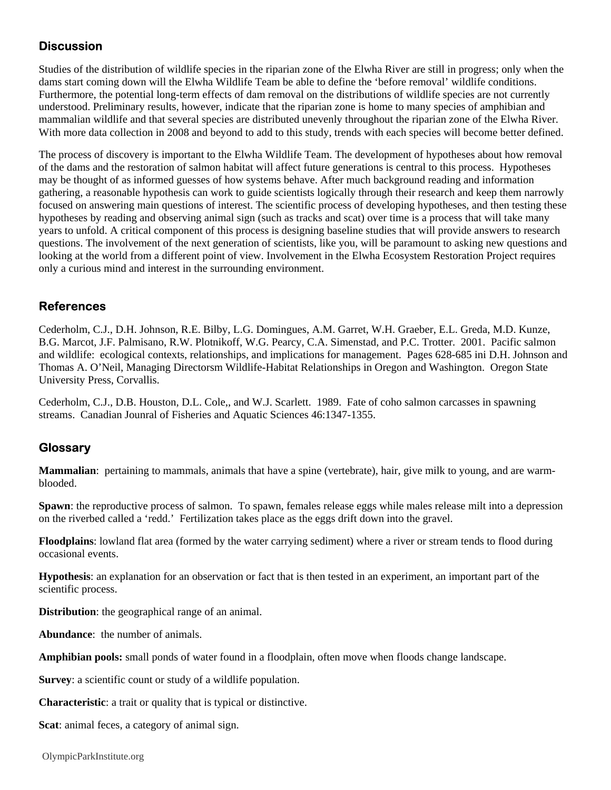# **Discussion**

Studies of the distribution of wildlife species in the riparian zone of the Elwha River are still in progress; only when the dams start coming down will the Elwha Wildlife Team be able to define the 'before removal' wildlife conditions. Furthermore, the potential long-term effects of dam removal on the distributions of wildlife species are not currently understood. Preliminary results, however, indicate that the riparian zone is home to many species of amphibian and mammalian wildlife and that several species are distributed unevenly throughout the riparian zone of the Elwha River. With more data collection in 2008 and beyond to add to this study, trends with each species will become better defined.

The process of discovery is important to the Elwha Wildlife Team. The development of hypotheses about how removal of the dams and the restoration of salmon habitat will affect future generations is central to this process. Hypotheses may be thought of as informed guesses of how systems behave. After much background reading and information gathering, a reasonable hypothesis can work to guide scientists logically through their research and keep them narrowly focused on answering main questions of interest. The scientific process of developing hypotheses, and then testing these hypotheses by reading and observing animal sign (such as tracks and scat) over time is a process that will take many years to unfold. A critical component of this process is designing baseline studies that will provide answers to research questions. The involvement of the next generation of scientists, like you, will be paramount to asking new questions and looking at the world from a different point of view. Involvement in the Elwha Ecosystem Restoration Project requires only a curious mind and interest in the surrounding environment.

## **References**

Cederholm, C.J., D.H. Johnson, R.E. Bilby, L.G. Domingues, A.M. Garret, W.H. Graeber, E.L. Greda, M.D. Kunze, B.G. Marcot, J.F. Palmisano, R.W. Plotnikoff, W.G. Pearcy, C.A. Simenstad, and P.C. Trotter. 2001. Pacific salmon and wildlife: ecological contexts, relationships, and implications for management. Pages 628-685 ini D.H. Johnson and Thomas A. O'Neil, Managing Directorsm Wildlife-Habitat Relationships in Oregon and Washington. Oregon State University Press, Corvallis.

Cederholm, C.J., D.B. Houston, D.L. Cole,, and W.J. Scarlett. 1989. Fate of coho salmon carcasses in spawning streams. Canadian Jounral of Fisheries and Aquatic Sciences 46:1347-1355.

## **Glossary**

**Mammalian**: pertaining to mammals, animals that have a spine (vertebrate), hair, give milk to young, and are warmblooded.

**Spawn**: the reproductive process of salmon. To spawn, females release eggs while males release milt into a depression on the riverbed called a 'redd.' Fertilization takes place as the eggs drift down into the gravel.

**Floodplains**: lowland flat area (formed by the water carrying sediment) where a river or stream tends to flood during occasional events.

**Hypothesis**: an explanation for an observation or fact that is then tested in an experiment, an important part of the scientific process.

**Distribution**: the geographical range of an animal.

**Abundance**: the number of animals.

**Amphibian pools:** small ponds of water found in a floodplain, often move when floods change landscape.

**Survey**: a scientific count or study of a wildlife population.

**Characteristic**: a trait or quality that is typical or distinctive.

**Scat**: animal feces, a category of animal sign.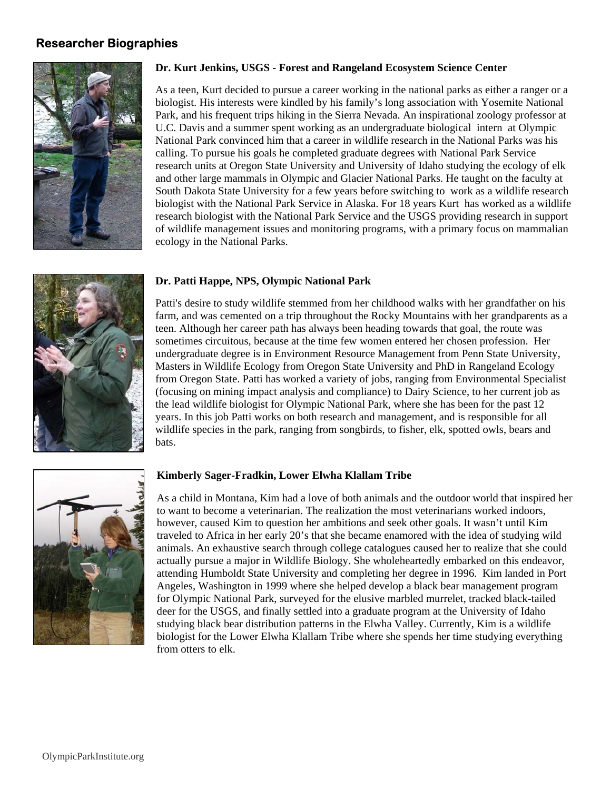#### **Researcher Biographies**



#### **Dr. Kurt Jenkins, USGS - Forest and Rangeland Ecosystem Science Center**

As a teen, Kurt decided to pursue a career working in the national parks as either a ranger or a biologist. His interests were kindled by his family's long association with Yosemite National Park, and his frequent trips hiking in the Sierra Nevada. An inspirational zoology professor at U.C. Davis and a summer spent working as an undergraduate biological intern at Olympic National Park convinced him that a career in wildlife research in the National Parks was his calling. To pursue his goals he completed graduate degrees with National Park Service research units at Oregon State University and University of Idaho studying the ecology of elk and other large mammals in Olympic and Glacier National Parks. He taught on the faculty at South Dakota State University for a few years before switching to work as a wildlife research biologist with the National Park Service in Alaska. For 18 years Kurt has worked as a wildlife research biologist with the National Park Service and the USGS providing research in support of wildlife management issues and monitoring programs, with a primary focus on mammalian ecology in the National Parks.

#### **Dr. Patti Happe, NPS, Olympic National Park**



Patti's desire to study wildlife stemmed from her childhood walks with her grandfather on his farm, and was cemented on a trip throughout the Rocky Mountains with her grandparents as a teen. Although her career path has always been heading towards that goal, the route was sometimes circuitous, because at the time few women entered her chosen profession. Her undergraduate degree is in Environment Resource Management from Penn State University, Masters in Wildlife Ecology from Oregon State University and PhD in Rangeland Ecology from Oregon State. Patti has worked a variety of jobs, ranging from Environmental Specialist (focusing on mining impact analysis and compliance) to Dairy Science, to her current job as the lead wildlife biologist for Olympic National Park, where she has been for the past 12 years. In this job Patti works on both research and management, and is responsible for all wildlife species in the park, ranging from songbirds, to fisher, elk, spotted owls, bears and



#### **Kimberly Sager-Fradkin, Lower Elwha Klallam Tribe**

As a child in Montana, Kim had a love of both animals and the outdoor world that inspired her to want to become a veterinarian. The realization the most veterinarians worked indoors, however, caused Kim to question her ambitions and seek other goals. It wasn't until Kim traveled to Africa in her early 20's that she became enamored with the idea of studying wild animals. An exhaustive search through college catalogues caused her to realize that she could actually pursue a major in Wildlife Biology. She wholeheartedly embarked on this endeavor, attending Humboldt State University and completing her degree in 1996. Kim landed in Port Angeles, Washington in 1999 where she helped develop a black bear management program for Olympic National Park, surveyed for the elusive marbled murrelet, tracked black-tailed deer for the USGS, and finally settled into a graduate program at the University of Idaho studying black bear distribution patterns in the Elwha Valley. Currently, Kim is a wildlife biologist for the Lower Elwha Klallam Tribe where she spends her time studying everything from otters to elk.